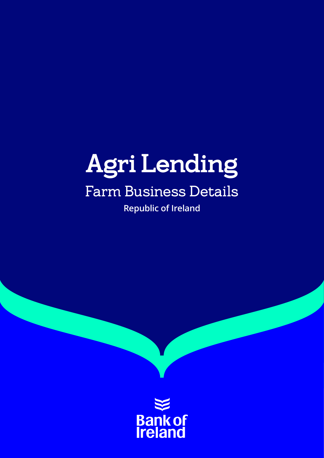# Agri Lending Farm Business Details

**Republic of Ireland**

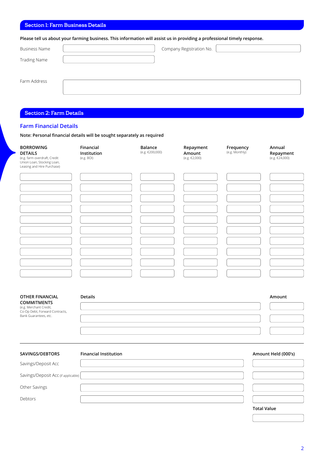## Section 1: Farm Business Details

**Please tell us about your farming business. This information will assist us in providing a professional timely response.**

| <b>Business Name</b> | Company Registration No. |  |
|----------------------|--------------------------|--|
| <b>Trading Name</b>  |                          |  |
|                      |                          |  |
| Farm Address         |                          |  |
|                      |                          |  |

# Section 2: Farm Details

### **Farm Financial Details**

**Note: Personal financial details will be sought separately as required**

| <b>BORROWING</b><br><b>DETAILS</b><br>(e.g. farm overdraft, Credit<br>Union Loan, Stocking Loan,<br>Leasing and Hire Purchase) | Financial<br>Institution<br>(e.g. BOI) | <b>Balance</b><br>(e.g. €200,000) | Repayment<br>Amount<br>(e.g. €2,000) | Frequency<br>(e.g. Monthly) | Annual<br>Repayment<br>(e.g. €24,000) |
|--------------------------------------------------------------------------------------------------------------------------------|----------------------------------------|-----------------------------------|--------------------------------------|-----------------------------|---------------------------------------|
|                                                                                                                                |                                        |                                   |                                      |                             |                                       |
|                                                                                                                                |                                        |                                   |                                      |                             |                                       |
|                                                                                                                                |                                        |                                   |                                      |                             |                                       |
|                                                                                                                                |                                        |                                   |                                      |                             |                                       |
|                                                                                                                                |                                        |                                   |                                      |                             |                                       |
|                                                                                                                                |                                        |                                   |                                      |                             |                                       |
|                                                                                                                                |                                        |                                   |                                      |                             |                                       |
|                                                                                                                                |                                        |                                   |                                      |                             |                                       |
|                                                                                                                                |                                        |                                   |                                      |                             |                                       |
|                                                                                                                                |                                        |                                   |                                      |                             |                                       |
|                                                                                                                                |                                        |                                   |                                      |                             |                                       |
| OTHER FINANCIAL<br><b>COMMITMENTS</b>                                                                                          | <b>Details</b>                         |                                   |                                      |                             | Amount                                |
| (e.g. Merchant Credit,<br>Co-Op Debt, Forward Contracts,<br>Bank Guarantees, etc.                                              |                                        |                                   |                                      |                             |                                       |
|                                                                                                                                |                                        |                                   |                                      |                             |                                       |
|                                                                                                                                |                                        |                                   |                                      |                             |                                       |
|                                                                                                                                |                                        |                                   |                                      |                             |                                       |
| SAVINGS/DEBTORS                                                                                                                | <b>Financial Institution</b>           |                                   |                                      |                             | Amount Held (000's)                   |
| Savings/Deposit Acc                                                                                                            |                                        |                                   |                                      |                             |                                       |
| Savings/Deposit Acc (if applicable)                                                                                            |                                        |                                   |                                      |                             |                                       |
| Other Savings                                                                                                                  |                                        |                                   |                                      |                             |                                       |

Debtors

**Total Value**

2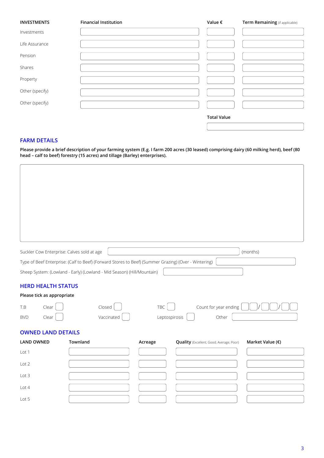| <b>INVESTMENTS</b> | <b>Financial Institution</b> | Value $\epsilon$   | Term Remaining (if applicable) |
|--------------------|------------------------------|--------------------|--------------------------------|
| Investments        |                              |                    |                                |
| Life Assurance     |                              |                    |                                |
| Pension            |                              |                    |                                |
| Shares             |                              |                    |                                |
| Property           |                              |                    |                                |
| Other (specify)    |                              |                    |                                |
| Other (specify)    |                              |                    |                                |
|                    |                              | <b>Total Value</b> |                                |
|                    |                              |                    |                                |

# **FARM DETAILS**

**Please provide a brief description of your farming system (E.g. I farm 200 acres (30 leased) comprising dairy (60 milking herd), beef (80 head – calf to beef) forestry (15 acres) and tillage (Barley) enterprises).**

| Suckler Cow Enterprise: Calves sold at age                              |                                                                                                      |               |                                                 | (months)         |
|-------------------------------------------------------------------------|------------------------------------------------------------------------------------------------------|---------------|-------------------------------------------------|------------------|
|                                                                         | Type of Beef Enterprise: (Calf to Beef) (Forward Stores to Beef) (Summer Grazing) (Over - Wintering) |               |                                                 |                  |
|                                                                         | Sheep System: (Lowland - Early) (Lowland - Mid Season) (Hill/Mountain)                               |               |                                                 |                  |
| <b>HERD HEALTH STATUS</b><br>Please tick as appropriate<br>T.B<br>Clear | Closed                                                                                               | TBC           | Count for year ending                           |                  |
| Clear<br><b>BVD</b>                                                     | Vaccinated                                                                                           | Leptospirosis | Other                                           |                  |
| <b>OWNED LAND DETAILS</b>                                               |                                                                                                      |               |                                                 |                  |
| <b>LAND OWNED</b>                                                       | Townland                                                                                             | Acreage       | <b>Quality</b> (Excellent; Good; Average; Poor) | Market Value (€) |
| Lot 1                                                                   |                                                                                                      |               |                                                 |                  |
| Lot 2                                                                   |                                                                                                      |               |                                                 |                  |
| Lot 3                                                                   |                                                                                                      |               |                                                 |                  |
| Lot 4                                                                   |                                                                                                      |               |                                                 |                  |
| Lot 5                                                                   |                                                                                                      |               |                                                 |                  |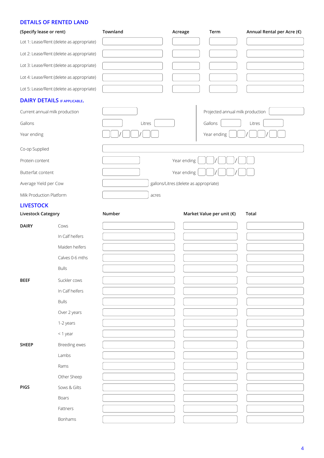# **DETAILS OF RENTED LAND**

| (Specify lease or rent)   |                                           | Townland | Acreage                                | Term                             | Annual Rental per Acre $(\epsilon)$ |
|---------------------------|-------------------------------------------|----------|----------------------------------------|----------------------------------|-------------------------------------|
|                           | Lot 1: Lease/Rent (delete as appropriate) |          |                                        |                                  |                                     |
|                           | Lot 2: Lease/Rent (delete as appropriate) |          |                                        |                                  |                                     |
|                           | Lot 3: Lease/Rent (delete as appropriate) |          |                                        |                                  |                                     |
|                           | Lot 4: Lease/Rent (delete as appropriate) |          |                                        |                                  |                                     |
|                           | Lot 5: Lease/Rent (delete as appropriate) |          |                                        |                                  |                                     |
|                           | <b>DAIRY DETAILS IF APPLICABLE.</b>       |          |                                        |                                  |                                     |
|                           | Current annual milk production            |          |                                        | Projected annual milk production |                                     |
| Gallons                   |                                           | Litres   |                                        | Gallons                          | Litres                              |
| Year ending               |                                           |          |                                        | Year ending                      |                                     |
| Co-op Supplied            |                                           |          |                                        |                                  |                                     |
| Protein content           |                                           |          | Year ending                            |                                  |                                     |
| Butterfat content         |                                           |          | Year ending                            |                                  |                                     |
| Average Yield per Cow     |                                           |          | gallons/Litres (delete as appropriate) |                                  |                                     |
| Milk Production Platform  |                                           | acres    |                                        |                                  |                                     |
| <b>LIVESTOCK</b>          |                                           |          |                                        |                                  |                                     |
| <b>Livestock Category</b> |                                           | Number   |                                        | Market Value per unit (€)        | <b>Total</b>                        |
| <b>DAIRY</b>              | Cows                                      |          |                                        |                                  |                                     |
|                           | In Calf heifers                           |          |                                        |                                  |                                     |
|                           | Maiden heifers                            |          |                                        |                                  |                                     |
|                           | Calves 0-6 mths                           |          |                                        |                                  |                                     |
|                           | <b>Bulls</b>                              |          |                                        |                                  |                                     |
| <b>BEEF</b>               | Suckler cows                              |          |                                        |                                  |                                     |
|                           | In Calf heifers                           |          |                                        |                                  |                                     |
|                           | <b>Bulls</b>                              |          |                                        |                                  |                                     |
|                           | Over 2 years                              |          |                                        |                                  |                                     |
|                           | 1-2 years                                 |          |                                        |                                  |                                     |
|                           | <1 year                                   |          |                                        |                                  |                                     |
| <b>SHEEP</b>              | Breeding ewes                             |          |                                        |                                  |                                     |
|                           | Lambs                                     |          |                                        |                                  |                                     |
|                           | Rams                                      |          |                                        |                                  |                                     |
|                           | Other Sheep                               |          |                                        |                                  |                                     |
| PIGS                      | Sows & Gilts                              |          |                                        |                                  |                                     |
|                           | Boars                                     |          |                                        |                                  |                                     |
|                           | Fattners                                  |          |                                        |                                  |                                     |
|                           | Bonhams                                   |          |                                        |                                  |                                     |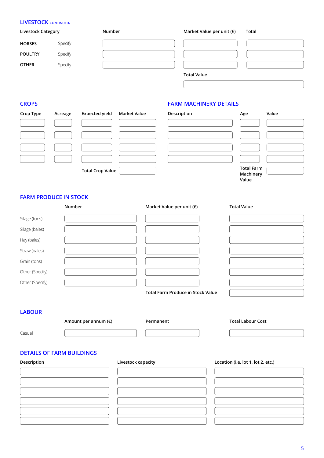# **LIVESTOCK CONTINUED.**

| <b>Livestock Category</b> |         | Number | Market Value per unit $(\epsilon)$ | Total |
|---------------------------|---------|--------|------------------------------------|-------|
| <b>HORSES</b>             | Specify |        |                                    |       |
| <b>POULTRY</b>            | Specify |        |                                    |       |
| <b>OTHER</b>              | Specify |        |                                    |       |
|                           |         |        | <b>Total Value</b>                 |       |

# **FARM MACHINERY DETAILS**

| Crop Type | Acreage | <b>Expected yield</b>   | <b>Market Value</b> | Description | Age                                     | Value |
|-----------|---------|-------------------------|---------------------|-------------|-----------------------------------------|-------|
|           |         |                         |                     |             |                                         |       |
|           |         |                         |                     |             |                                         |       |
|           |         |                         |                     |             |                                         |       |
|           |         |                         |                     |             |                                         |       |
|           |         | <b>Total Crop Value</b> |                     |             | <b>Total Farm</b><br>Machinery<br>Value |       |

# **FARM PRODUCE IN STOCK**

|                                  | Number               | Market Value per unit (€)                | <b>Total Value</b>                 |
|----------------------------------|----------------------|------------------------------------------|------------------------------------|
| Silage (tons)                    |                      |                                          |                                    |
| Silage (bales)                   |                      |                                          |                                    |
| Hay (bales)                      |                      |                                          |                                    |
| Straw (bales)                    |                      |                                          |                                    |
| Grain (tons)                     |                      |                                          |                                    |
| Other (Specify)                  |                      |                                          |                                    |
| Other (Specify)                  |                      |                                          |                                    |
|                                  |                      | <b>Total Farm Produce in Stock Value</b> |                                    |
| <b>LABOUR</b>                    |                      | Permanent                                | <b>Total Labour Cost</b>           |
|                                  |                      |                                          |                                    |
|                                  | Amount per annum (€) |                                          |                                    |
| Casual                           |                      |                                          |                                    |
| <b>DETAILS OF FARM BUILDINGS</b> |                      |                                          |                                    |
| Description                      | Livestock capacity   |                                          | Location (i.e. lot 1, lot 2, etc.) |
|                                  |                      |                                          |                                    |
|                                  |                      |                                          |                                    |
|                                  |                      |                                          |                                    |
|                                  |                      |                                          |                                    |
|                                  |                      |                                          |                                    |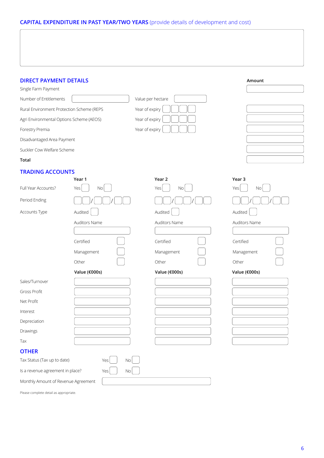# **CAPITAL EXPENDITURE IN PAST YEAR/TWO YEARS** (provide details of development and cost)

| <b>DIRECT PAYMENT DETAILS</b>             |                 |                   |               |            | Amount        |
|-------------------------------------------|-----------------|-------------------|---------------|------------|---------------|
| Single Farm Payment                       |                 |                   |               |            |               |
| Number of Entitlements                    |                 | Value per hectare |               |            |               |
| Rural Environment Protection Scheme (REPS |                 | Year of expiry    |               |            |               |
| Agri Environmental Options Scheme (AEOS)  |                 | Year of expiry    |               |            |               |
| Forestry Premia                           |                 | Year of expiry    |               |            |               |
| Disadvantaged Area Payment                |                 |                   |               |            |               |
| Suckler Cow Welfare Scheme                |                 |                   |               |            |               |
| Total                                     |                 |                   |               |            |               |
| <b>TRADING ACCOUNTS</b>                   |                 |                   |               |            |               |
|                                           | Year 1          |                   | Year 2        | Year 3     |               |
| Full Year Accounts?                       | Yes<br>$\rm No$ |                   | Yes<br>No     | Yes        | $\rm No$      |
| Period Ending                             |                 |                   |               |            |               |
| Accounts Type                             | Audited         |                   | Audited       | Audited    |               |
|                                           | Auditors Name   |                   | Auditors Name |            | Auditors Name |
|                                           |                 |                   |               |            |               |
|                                           | Certified       |                   | Certified     | Certified  |               |
|                                           | Management      |                   | Management    | Management |               |
|                                           | Other           |                   | Other         | Other      |               |
|                                           | Value (€000s)   |                   | Value (€000s) |            | Value (€000s) |
| Sales/Turnover                            |                 |                   |               |            |               |
| <b>Gross Profit</b>                       |                 |                   |               |            |               |
| Net Profit                                |                 |                   |               |            |               |
| Interest                                  |                 |                   |               |            |               |
| Depreciation                              |                 |                   |               |            |               |
| Drawings                                  |                 |                   |               |            |               |
| Tax                                       |                 |                   |               |            |               |
| <b>OTHER</b>                              |                 |                   |               |            |               |
| Tax Status (Tax up to date)               | $\rm No$<br>Yes |                   |               |            |               |
| Is a revenue agreement in place?          | Yes<br>$\rm No$ |                   |               |            |               |
| Monthly Amount of Revenue Agreement       |                 |                   |               |            |               |

Please complete detail as appropriate.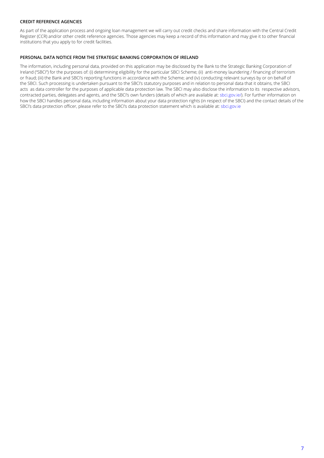### **CREDIT REFERENCE AGENCIES**

As part of the application process and ongoing loan management we will carry out credit checks and share information with the Central Credit Register (CCR) and/or other credit reference agencies. Those agencies may keep a record of this information and may give it to other financial institutions that you apply to for credit facilities.

### **PERSONAL DATA NOTICE FROM THE STRATEGIC BANKING CORPORATION OF IRELAND**

The information, including personal data, provided on this application may be disclosed by the Bank to the Strategic Banking Corporation of Ireland ("SBCI") for the purposes of: (i) determining eligibility for the particular SBCI Scheme; (ii) anti-money laundering / financing of terrorism or fraud; (iii) the Bank and SBCI's reporting functions in accordance with the Scheme; and (iv) conducting relevant surveys by or on behalf of the SBCI. Such processing is undertaken pursuant to the SBCI's statutory purposes and in relation to personal data that it obtains, the SBCI acts as data controller for the purposes of applicable data protection law. The SBCI may also disclose the information to its respective advisors, contracted parties, delegates and agents, and the SBCI's own funders (details of which are available at: sbci.gov.ie/). For further information on how the SBCI handles personal data, including information about your data protection rights (in respect of the SBCI) and the contact details of the SBCI's data protection officer, please refer to the SBCI's data protection statement which is available at: sbci.gov.ie